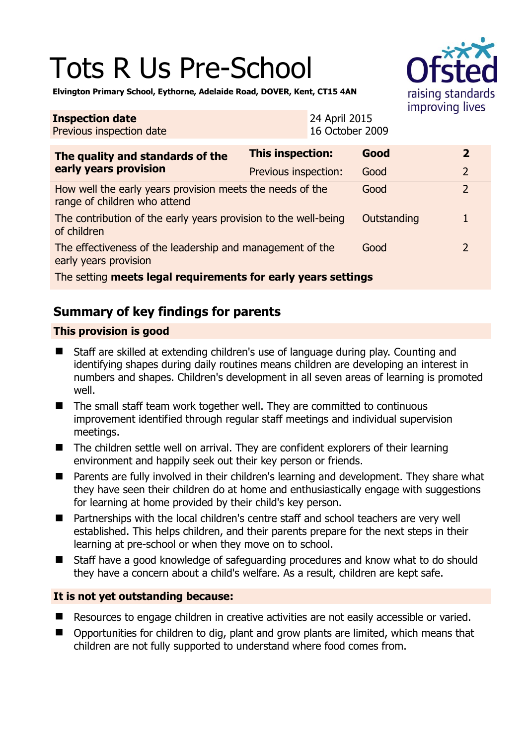# Tots R Us Pre-School



**Elvington Primary School, Eythorne, Adelaide Road, DOVER, Kent, CT15 4AN** 

| <b>Inspection date</b><br>Previous inspection date                                        |                         | 24 April 2015<br>16 October 2009 |             | $\cdots$ $\cdots$ $\cdots$ $\cdots$ |                |
|-------------------------------------------------------------------------------------------|-------------------------|----------------------------------|-------------|-------------------------------------|----------------|
| The quality and standards of the                                                          | <b>This inspection:</b> |                                  | Good        |                                     | $\overline{2}$ |
| early years provision                                                                     | Previous inspection:    |                                  | Good        |                                     | $\overline{2}$ |
| How well the early years provision meets the needs of the<br>range of children who attend |                         |                                  | Good        |                                     | $\overline{2}$ |
| The contribution of the early years provision to the well-being<br>of children            |                         |                                  | Outstanding |                                     | 1              |
| The effectiveness of the leadership and management of the<br>early years provision        |                         |                                  | Good        |                                     | 2              |
| The setting meets legal requirements for early years settings                             |                         |                                  |             |                                     |                |

# **Summary of key findings for parents**

#### **This provision is good**

- Staff are skilled at extending children's use of language during play. Counting and identifying shapes during daily routines means children are developing an interest in numbers and shapes. Children's development in all seven areas of learning is promoted well.
- The small staff team work together well. They are committed to continuous improvement identified through regular staff meetings and individual supervision meetings.
- The children settle well on arrival. They are confident explorers of their learning environment and happily seek out their key person or friends.
- Parents are fully involved in their children's learning and development. They share what they have seen their children do at home and enthusiastically engage with suggestions for learning at home provided by their child's key person.
- Partnerships with the local children's centre staff and school teachers are very well established. This helps children, and their parents prepare for the next steps in their learning at pre-school or when they move on to school.
- Staff have a good knowledge of safeguarding procedures and know what to do should they have a concern about a child's welfare. As a result, children are kept safe.

#### **It is not yet outstanding because:**

- Resources to engage children in creative activities are not easily accessible or varied.
- Opportunities for children to dig, plant and grow plants are limited, which means that children are not fully supported to understand where food comes from.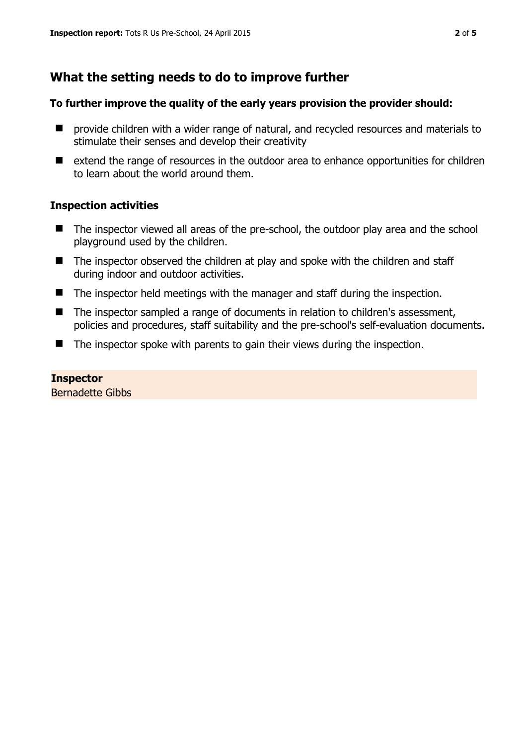## **What the setting needs to do to improve further**

#### **To further improve the quality of the early years provision the provider should:**

- **P** provide children with a wider range of natural, and recycled resources and materials to stimulate their senses and develop their creativity
- extend the range of resources in the outdoor area to enhance opportunities for children to learn about the world around them.

#### **Inspection activities**

- The inspector viewed all areas of the pre-school, the outdoor play area and the school playground used by the children.
- The inspector observed the children at play and spoke with the children and staff during indoor and outdoor activities.
- $\blacksquare$  The inspector held meetings with the manager and staff during the inspection.
- The inspector sampled a range of documents in relation to children's assessment, policies and procedures, staff suitability and the pre-school's self-evaluation documents.
- $\blacksquare$  The inspector spoke with parents to gain their views during the inspection.

#### **Inspector**

Bernadette Gibbs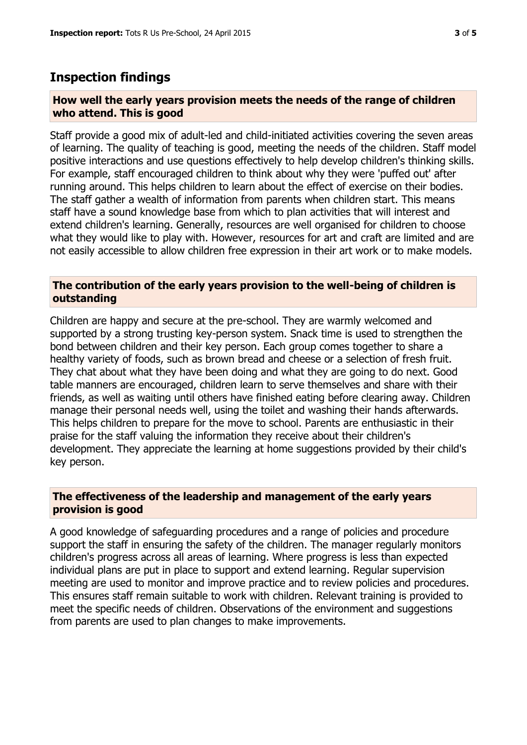### **Inspection findings**

#### **How well the early years provision meets the needs of the range of children who attend. This is good**

Staff provide a good mix of adult-led and child-initiated activities covering the seven areas of learning. The quality of teaching is good, meeting the needs of the children. Staff model positive interactions and use questions effectively to help develop children's thinking skills. For example, staff encouraged children to think about why they were 'puffed out' after running around. This helps children to learn about the effect of exercise on their bodies. The staff gather a wealth of information from parents when children start. This means staff have a sound knowledge base from which to plan activities that will interest and extend children's learning. Generally, resources are well organised for children to choose what they would like to play with. However, resources for art and craft are limited and are not easily accessible to allow children free expression in their art work or to make models.

#### **The contribution of the early years provision to the well-being of children is outstanding**

Children are happy and secure at the pre-school. They are warmly welcomed and supported by a strong trusting key-person system. Snack time is used to strengthen the bond between children and their key person. Each group comes together to share a healthy variety of foods, such as brown bread and cheese or a selection of fresh fruit. They chat about what they have been doing and what they are going to do next. Good table manners are encouraged, children learn to serve themselves and share with their friends, as well as waiting until others have finished eating before clearing away. Children manage their personal needs well, using the toilet and washing their hands afterwards. This helps children to prepare for the move to school. Parents are enthusiastic in their praise for the staff valuing the information they receive about their children's development. They appreciate the learning at home suggestions provided by their child's key person.

#### **The effectiveness of the leadership and management of the early years provision is good**

A good knowledge of safeguarding procedures and a range of policies and procedure support the staff in ensuring the safety of the children. The manager regularly monitors children's progress across all areas of learning. Where progress is less than expected individual plans are put in place to support and extend learning. Regular supervision meeting are used to monitor and improve practice and to review policies and procedures. This ensures staff remain suitable to work with children. Relevant training is provided to meet the specific needs of children. Observations of the environment and suggestions from parents are used to plan changes to make improvements.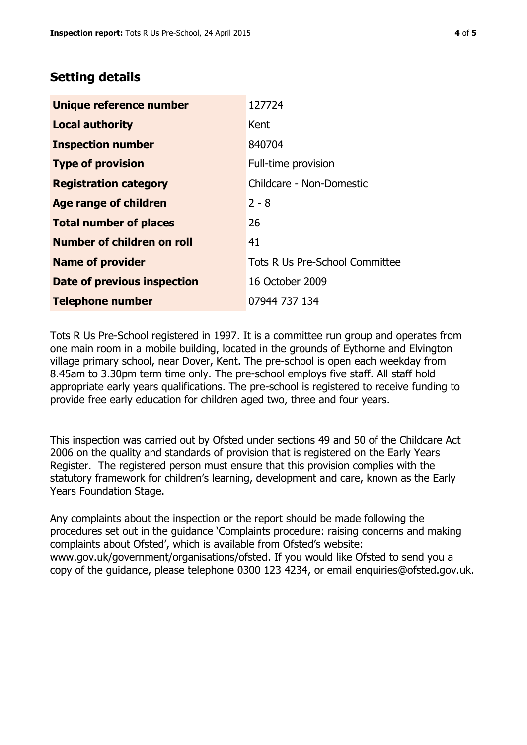## **Setting details**

| Unique reference number       | 127724                         |  |
|-------------------------------|--------------------------------|--|
| <b>Local authority</b>        | Kent                           |  |
| <b>Inspection number</b>      | 840704                         |  |
| <b>Type of provision</b>      | Full-time provision            |  |
| <b>Registration category</b>  | Childcare - Non-Domestic       |  |
| Age range of children         | $2 - 8$                        |  |
| <b>Total number of places</b> | 26                             |  |
| Number of children on roll    | 41                             |  |
| <b>Name of provider</b>       | Tots R Us Pre-School Committee |  |
| Date of previous inspection   | 16 October 2009                |  |
| <b>Telephone number</b>       | 07944 737 134                  |  |

Tots R Us Pre-School registered in 1997. It is a committee run group and operates from one main room in a mobile building, located in the grounds of Eythorne and Elvington village primary school, near Dover, Kent. The pre-school is open each weekday from 8.45am to 3.30pm term time only. The pre-school employs five staff. All staff hold appropriate early years qualifications. The pre-school is registered to receive funding to provide free early education for children aged two, three and four years.

This inspection was carried out by Ofsted under sections 49 and 50 of the Childcare Act 2006 on the quality and standards of provision that is registered on the Early Years Register. The registered person must ensure that this provision complies with the statutory framework for children's learning, development and care, known as the Early Years Foundation Stage.

Any complaints about the inspection or the report should be made following the procedures set out in the guidance 'Complaints procedure: raising concerns and making complaints about Ofsted', which is available from Ofsted's website: www.gov.uk/government/organisations/ofsted. If you would like Ofsted to send you a copy of the guidance, please telephone 0300 123 4234, or email enquiries@ofsted.gov.uk.